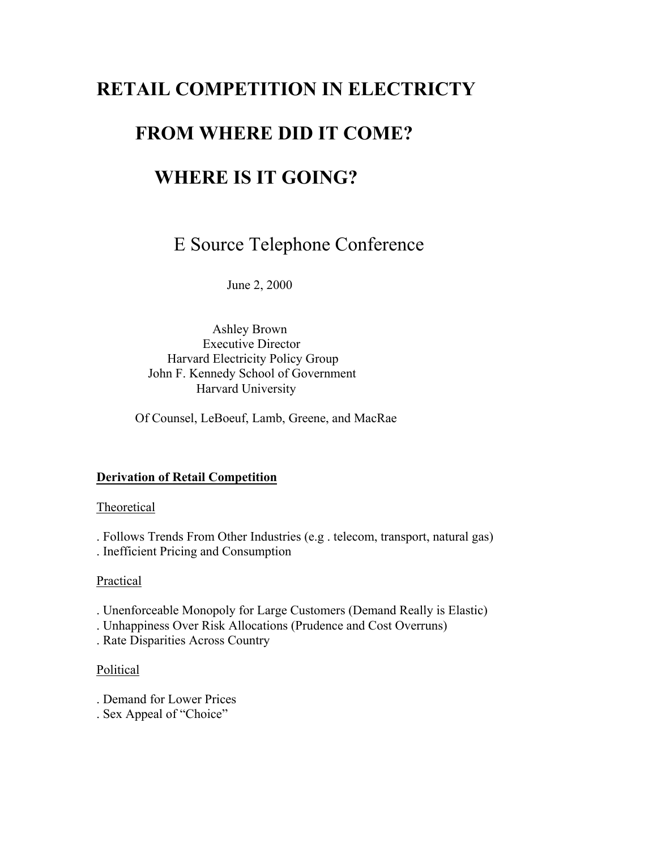# **RETAIL COMPETITION IN ELECTRICTY**

## **FROM WHERE DID IT COME?**

## **WHERE IS IT GOING?**

E Source Telephone Conference

June 2, 2000

 Ashley Brown Executive Director Harvard Electricity Policy Group John F. Kennedy School of Government Harvard University

Of Counsel, LeBoeuf, Lamb, Greene, and MacRae

#### **Derivation of Retail Competition**

#### **Theoretical**

. Follows Trends From Other Industries (e.g . telecom, transport, natural gas) . Inefficient Pricing and Consumption

#### Practical

- . Unenforceable Monopoly for Large Customers (Demand Really is Elastic)
- . Unhappiness Over Risk Allocations (Prudence and Cost Overruns)
- . Rate Disparities Across Country

#### Political

- . Demand for Lower Prices
- . Sex Appeal of "Choice"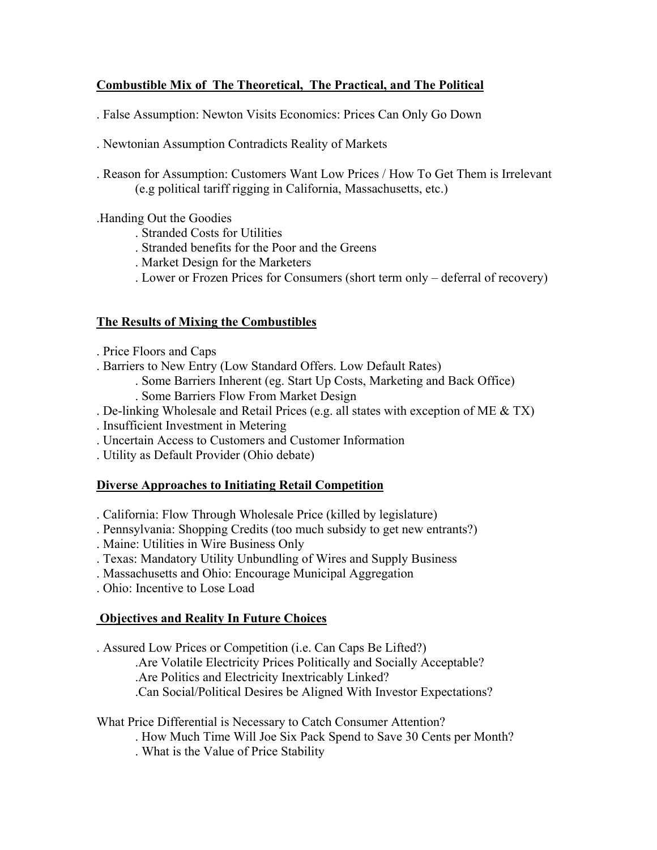### **Combustible Mix of The Theoretical, The Practical, and The Political**

. False Assumption: Newton Visits Economics: Prices Can Only Go Down

. Newtonian Assumption Contradicts Reality of Markets

. Reason for Assumption: Customers Want Low Prices / How To Get Them is Irrelevant (e.g political tariff rigging in California, Massachusetts, etc.)

.Handing Out the Goodies

- . Stranded Costs for Utilities
- . Stranded benefits for the Poor and the Greens
- . Market Design for the Marketers
- . Lower or Frozen Prices for Consumers (short term only deferral of recovery)

### **The Results of Mixing the Combustibles**

- . Price Floors and Caps
- . Barriers to New Entry (Low Standard Offers. Low Default Rates)
	- . Some Barriers Inherent (eg. Start Up Costs, Marketing and Back Office) . Some Barriers Flow From Market Design
- . De-linking Wholesale and Retail Prices (e.g. all states with exception of ME & TX)
- . Insufficient Investment in Metering
- . Uncertain Access to Customers and Customer Information
- . Utility as Default Provider (Ohio debate)

## **Diverse Approaches to Initiating Retail Competition**

- . California: Flow Through Wholesale Price (killed by legislature)
- . Pennsylvania: Shopping Credits (too much subsidy to get new entrants?)
- . Maine: Utilities in Wire Business Only
- . Texas: Mandatory Utility Unbundling of Wires and Supply Business
- . Massachusetts and Ohio: Encourage Municipal Aggregation
- . Ohio: Incentive to Lose Load

## **Objectives and Reality In Future Choices**

. Assured Low Prices or Competition (i.e. Can Caps Be Lifted?)

.Are Volatile Electricity Prices Politically and Socially Acceptable?

.Are Politics and Electricity Inextricably Linked?

.Can Social/Political Desires be Aligned With Investor Expectations?

What Price Differential is Necessary to Catch Consumer Attention?

. How Much Time Will Joe Six Pack Spend to Save 30 Cents per Month?

. What is the Value of Price Stability